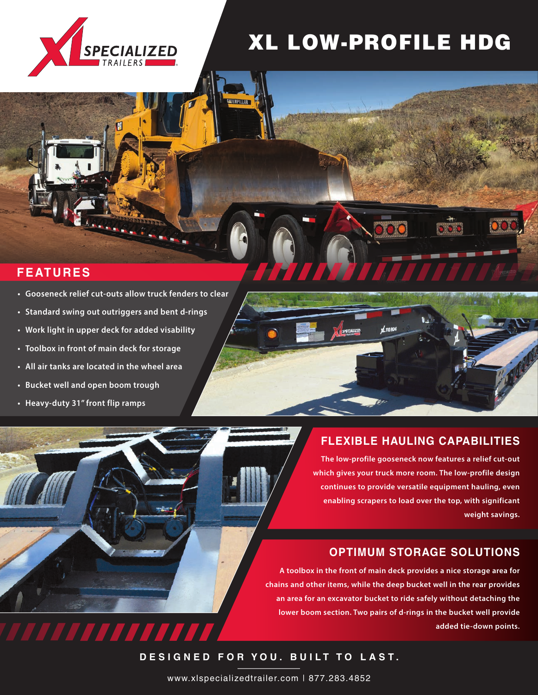

# XL LOW-PROFILE HDG

# **FEATURES**

- **• Gooseneck relief cut-outs allow truck fenders to clear**
- **• Standard swing out outriggers and bent d-rings**
- **• Work light in upper deck for added visability**
- **• Toolbox in front of main deck for storage**
- **• All air tanks are located in the wheel area**

**trailer behind the truck at all times; the kingpin rotates and prompts the axles to track with it. An overall strategies and it.** drivers to the full control as new parties of the full control as new parties of the full control as new parties of the full control as in the full control as in the full control as in the full control as in the full contr

7777777

- **• Bucket well and open boom trough**
- **The axles automatically rotate to keep the • Heavy-duty 31" front flip ramps**

# **FLEXIBLE HAULING CAPABILITIES**

**The tail is comprised of two sections – The low-profile gooseneck now features a relief cut-out an 8-foot 8-inch platform ramp and a which gives your truck more room. The low-profile design 60-inch flip tail. Both hinge points stay clean thanks continues to provide versatile equipment hauling, even to lug style hinges. These hinges prevent debris from enabling scrapers to load over the top, with significant accumulating. weight savings.** 

# **OPTIMUM STORAGE SOLUTIONS**

**A toolbox in the front of main deck provides a nice storage area for chains and other items, while the deep bucket well in the rear provides an area for an excavator bucket to ride safely without detaching the lower boom section. Two pairs of d-rings in the bucket well provide added tie-down points.** 

**DESIGNED FOR YOU. BUILT TO LAST.**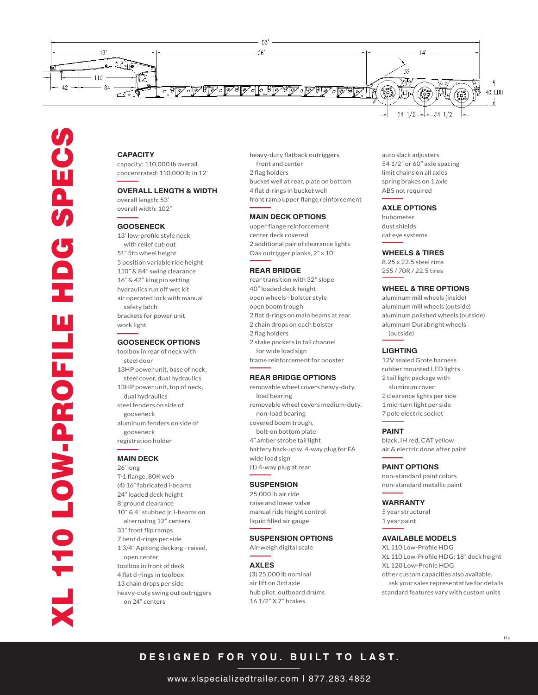

# **CAPACITY**

capacity: 110,000 lb overall concentrated: 110,000 lb in 12'

# **OVERALL LENGTH & WIDTH**

overall length: 53' overall width: 102"

#### **GOOSENECK**

13' low-profile style neck with relief cut-out 51" 5th wheel height 5 position variable ride height 110" & 84" swing clearance 16" & 42" king pin setting hydraulics run off wet kit air operated lock with manual safety latch brackets for power unit work light

#### **GOOSENECK OPTIONS**

toolbox in rear of neck with steel door 13HP power unit, base of neck, steel cover, dual hydraulics 13HP power unit, top of neck, dual hydraulics steel fenders on side of gooseneck aluminum fenders on side of gooseneck registration holder

### **MAIN DECK**

26' long T-1 flange, 80K web (4) 16" fabricated i-beams 24" loaded deck height 8"ground clearance 10" & 4" stubbed jr. i-beams on alternating 12" centers 31" front flip ramps 7 bent d-rings per side 1 3/4" Apitong decking - raised, open center toolbox in front of deck 4 flat d-rings in toolbox 13 chain drops per side heavy-duty swing out outriggers on 24" centers

heavy-duty flatback outriggers, front and center 2 flag holders bucket well at rear, plate on bottom 4 flat d-rings in bucket well front ramp upper flange reinforcement

#### **MAIN DECK OPTIONS**

upper flange reinforcement center deck covered 2 additional pair of clearance lights Oak outrigger planks, 2" x 10"

#### **REAR BRIDGE**

rear transition with 32° slope 40" loaded deck height open wheels - bolster style open boom trough 2 flat d-rings on main beams at rear 2 chain drops on each bolster 2 flag holders 2 stake pockets in tail channel for wide load sign frame reinforcement for booster

#### **REAR BRIDGE OPTIONS**

removable wheel covers heavy-duty, load bearing removable wheel covers medium-duty, non-load bearing covered boom trough, bolt-on bottom plate 4" amber strobe tail light battery back-up w. 4-way plug for FA wide load sign (1) 4-way plug at rear

#### **SUSPENSION**

25,000 lb air ride raise and lower valve manual ride height control liquid filled air gauge

# **SUSPENSION OPTIONS**

Air-weigh digital scale

#### **AXLES**

(3) 25,000 lb nominal air lift on 3rd axle hub pilot, outboard drums 16 1/2" X 7" brakes

auto slack adjusters 54 1/2" or 60" axle spacing limit chains on all axles spring brakes on 1 axle ABS not required

#### **AXLE OPTIONS**

hubometer dust shields cat eye systems

#### **WHEELS & TIRES**

8.25 x 22.5 steel rims 255 / 70R / 22.5 tires

# **WHEEL & TIRE OPTIONS**

aluminum mill wheels (inside) aluminum mill wheels (outside) aluminum polished wheels (outside) aluminum Durabright wheels (outside)

#### **LIGHTING**

12V sealed Grote harness rubber mounted LED lights 2 tail light package with aluminum cover 2 clearance lights per side 1 mid-turn light per side 7 pole electric socket

#### **PAINT**

black, IH red, CAT yellow air & electric done after paint

#### **PAINT OPTIONS**

non-standard paint colors non-standard metallic paint

#### **WARRANTY**

5 year structural 1 year paint

### **AVAILABLE MODELS**

XL 110 Low-Profile HDG XL 110 Low-Profile HDG: 18" deck height XL 120 Low-Profile HDG other custom capacities also available, ask your sales representative for details standard features vary with custom units

# **DESIGNED FOR YOU. BUILT TO LAST.**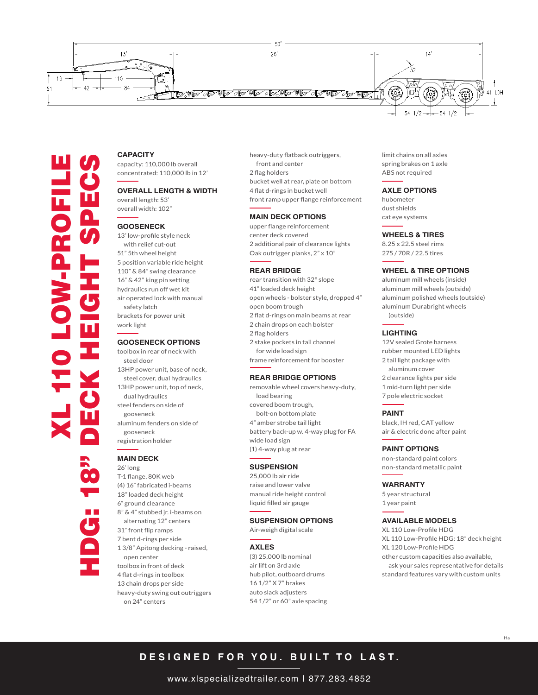

# **CAPACITY**

capacity: 110,000 lb overall concentrated: 110,000 lb in 12'

# **OVERALL LENGTH & WIDTH**

overall length: 53' overall width: 102"

#### **GOOSENECK**

13' low-profile style neck with relief cut-out 51" 5th wheel height 5 position variable ride height 110" & 84" swing clearance 16" & 42" king pin setting hydraulics run off wet kit air operated lock with manual safety latch brackets for power unit work light

#### **GOOSENECK OPTIONS**

toolbox in rear of neck with steel door 13HP power unit, base of neck, steel cover, dual hydraulics 13HP power unit, top of neck, dual hydraulics steel fenders on side of gooseneck aluminum fenders on side of gooseneck registration holder

# **MAIN DECK**

26' long T-1 flange, 80K web (4) 16" fabricated i-beams 18" loaded deck height 6" ground clearance 8" & 4" stubbed jr. i-beams on alternating 12" centers 31" front flip ramps 7 bent d-rings per side 1 3/8" Apitong decking - raised, open center toolbox in front of deck 4 flat d-rings in toolbox 13 chain drops per side heavy-duty swing out outriggers on 24" centers

heavy-duty flatback outriggers, front and center 2 flag holders bucket well at rear, plate on bottom 4 flat d-rings in bucket well front ramp upper flange reinforcement

#### **MAIN DECK OPTIONS**

upper flange reinforcement center deck covered 2 additional pair of clearance lights Oak outrigger planks, 2" x 10"

#### **REAR BRIDGE**

rear transition with 32° slope 41" loaded deck height open wheels - bolster style, dropped 4" open boom trough 2 flat d-rings on main beams at rear 2 chain drops on each bolster 2 flag holders 2 stake pockets in tail channel for wide load sign

frame reinforcement for booster

#### **REAR BRIDGE OPTIONS**

removable wheel covers heavy-duty, load bearing covered boom trough, bolt-on bottom plate 4" amber strobe tail light battery back-up w. 4-way plug for FA wide load sign (1) 4-way plug at rear

#### **SUSPENSION**

25,000 lb air ride raise and lower valve manual ride height control liquid filled air gauge

### **SUSPENSION OPTIONS**

Air-weigh digital scale

#### **AXLES**

(3) 25,000 lb nominal air lift on 3rd axle hub pilot, outboard drums 16 1/2" X 7" brakes auto slack adjusters 54 1/2" or 60" axle spacing limit chains on all axles spring brakes on 1 axle ABS not required

#### **AXLE OPTIONS**

hubometer dust shields cat eye systems

#### **WHEELS & TIRES**

8.25 x 22.5 steel rims 275 / 70R / 22.5 tires

#### **WHEEL & TIRE OPTIONS**

aluminum mill wheels (inside) aluminum mill wheels (outside) aluminum polished wheels (outside) aluminum Durabright wheels (outside)

#### **LIGHTING**

12V sealed Grote harness rubber mounted LED lights 2 tail light package with aluminum cover 2 clearance lights per side 1 mid-turn light per side 7 pole electric socket

#### **PAINT**

black, IH red, CAT yellow air & electric done after paint

#### **PAINT OPTIONS**

non-standard paint colors non-standard metallic paint

#### **WARRANTY**

5 year structural 1 year paint

### **AVAILABLE MODELS**

XL 110 Low-Profile HDG XL 110 Low-Profile HDG: 18" deck height XL 120 Low-Profile HDG other custom capacities also available, ask your sales representative for details standard features vary with custom units

# **DESIGNED FOR YOU. BUILT TO LAST.**